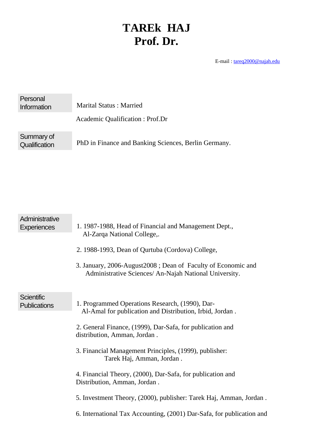## **TAREk HAJ Prof. Dr.**

E-mail : tareq2000@najah.edu

| Personal<br>Information     | <b>Marital Status: Married</b>                       |  |  |
|-----------------------------|------------------------------------------------------|--|--|
|                             | Academic Qualification : Prof.Dr                     |  |  |
| Summary of<br>Qualification | PhD in Finance and Banking Sciences, Berlin Germany. |  |  |

| Administrative<br><b>Experiences</b>     | 1. 1987-1988, Head of Financial and Management Dept.,<br>Al-Zarqa National College,.<br>2. 1988-1993, Dean of Qurtuba (Cordova) College,<br>3. January, 2006-August 2008; Dean of Faculty of Economic and<br>Administrative Sciences/ An-Najah National University.                                                                                                                                                                                                                                                                          |
|------------------------------------------|----------------------------------------------------------------------------------------------------------------------------------------------------------------------------------------------------------------------------------------------------------------------------------------------------------------------------------------------------------------------------------------------------------------------------------------------------------------------------------------------------------------------------------------------|
| <b>Scientific</b><br><b>Publications</b> | 1. Programmed Operations Research, (1990), Dar-<br>Al-Amal for publication and Distribution, Irbid, Jordan.<br>2. General Finance, (1999), Dar-Safa, for publication and<br>distribution, Amman, Jordan.<br>3. Financial Management Principles, (1999), publisher:<br>Tarek Haj, Amman, Jordan.<br>4. Financial Theory, (2000), Dar-Safa, for publication and<br>Distribution, Amman, Jordan.<br>5. Investment Theory, (2000), publisher: Tarek Haj, Amman, Jordan.<br>6. International Tax Accounting, (2001) Dar-Safa, for publication and |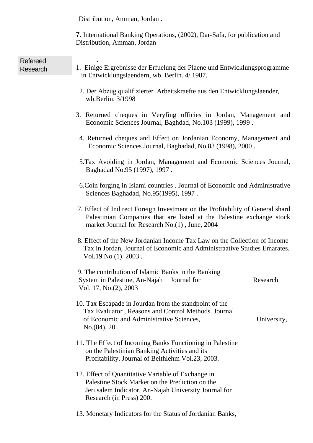Distribution, Amman, Jordan .

7. International Banking Operations, (2002), Dar-Safa, for publication and Distribution, Amman, Jordan

| <b>Refereed</b><br>Research | 1. Einige Ergrebnisse der Erfuelung der Plaene und Entwicklungsprogramme<br>in Entwicklungslaendern, wb. Berlin. 4/1987.                                                                                  |             |  |
|-----------------------------|-----------------------------------------------------------------------------------------------------------------------------------------------------------------------------------------------------------|-------------|--|
|                             | 2. Der Abzug qualifizierter Arbeitskraefte aus den Entwicklungslaender,<br>wb.Berlin. 3/1998                                                                                                              |             |  |
|                             | 3. Returned cheques in Veryfing officies in Jordan, Management and<br>Economic Sciences Journal, Baghdad, No.103 (1999), 1999.                                                                            |             |  |
|                             | 4. Returned cheques and Effect on Jordanian Economy, Management and<br>Economic Sciences Journal, Baghadad, No.83 (1998), 2000.                                                                           |             |  |
|                             | 5. Tax Avoiding in Jordan, Management and Economic Sciences Journal,<br>Baghadad No.95 (1997), 1997.                                                                                                      |             |  |
|                             | 6. Coin forging in Islami countries . Journal of Economic and Administrative<br>Sciences Baghadad, No.95(1995), 1997.                                                                                     |             |  |
|                             | 7. Effect of Indirect Foreign Investment on the Profitability of General shard<br>Palestinian Companies that are listed at the Palestine exchange stock<br>market Journal for Research No.(1), June, 2004 |             |  |
|                             | 8. Effect of the New Jordanian Income Tax Law on the Collection of Income<br>Tax in Jordan, Journal of Economic and Administraative Studies Emarates.<br>Vol. $19$ No $(1)$ . $2003$ .                    |             |  |
|                             | 9. The contribution of Islamic Banks in the Banking<br>System in Palestine, An-Najah<br>Journal for<br>Vol. 17, No. (2), 2003                                                                             | Research    |  |
|                             | 10. Tax Escapade in Jourdan from the standpoint of the<br>Tax Evaluator, Reasons and Control Methods. Journal<br>of Economic and Administrative Sciences,<br>No. (84), 20.                                | University, |  |
|                             | 11. The Effect of Incoming Banks Functioning in Palestine<br>on the Palestinian Banking Activities and its<br>Profitability. Journal of Beithlehm Vol.23, 2003.                                           |             |  |
|                             | 12. Effect of Quantitative Variable of Exchange in<br>Palestine Stock Market on the Prediction on the<br>Jerusalem Indicator, An-Najah University Journal for<br>Research (in Press) 200.                 |             |  |
|                             | 13. Monetary Indicators for the Status of Jordanian Banks,                                                                                                                                                |             |  |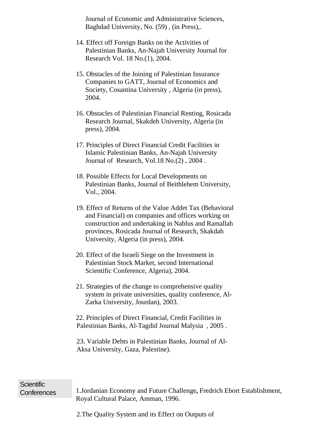Journal of Economic and Administrative Sciences, Baghdad University, No. (59) , (in Press),.

- 14. Effect off Foreign Banks on the Activities of Palestinian Banks, An-Najah University Journal for Research Vol. 18 No.(1), 2004.
- 15. Obstacles of the Joining of Palestinian Insurance Companies to GATT, Journal of Economics and Society, Cosantina University , Algeria (in press), 2004.
- 16. Obstacles of Palestinian Financial Renting, Rosicada Research Journal, Skakdeh University, Algeria (in press), 2004.
- 17. Principles of Direct Financial Credit Facilities in Islamic Palestinian Banks, An-Najah University Journal of Research, Vol.18 No.(2) , 2004 .
- 18. Possible Effects for Local Developments on Palestinian Banks, Journal of Beithlehem University, Vol., 2004.
- 19. Effect of Returns of the Value Addet Tax (Behavioral and Financial) on companies and offices working on construction and undertaking in Nablus and Ramallah provinces, Rosicada Journal of Research, Skakdah University, Algeria (in press), 2004.
- 20. Effect of the Israeli Siege on the Investment in Palestinian Stock Market, second International Scientific Conference, Algeria), 2004.
- 21. Strategies of the change to comprehensive quality system in private universities, quality conference, Al-Zarka University, Jourdan), 2003.

22. Principles of Direct Financial, Credit Facilities in Palestinian Banks, Al-Tagdid Journal Malysia , 2005 .

 23. Variable Debts in Palestinian Banks, Journal of Al-Aksa University, Gaza, Palestine).

## Scientific

Conferences 1.Jordanian Economy and Future Challenge**,** Fredrich Ebort Establishment, Royal Cultural Palace, Amman, 1996.

2.The Quality System and its Effect on Outputs of